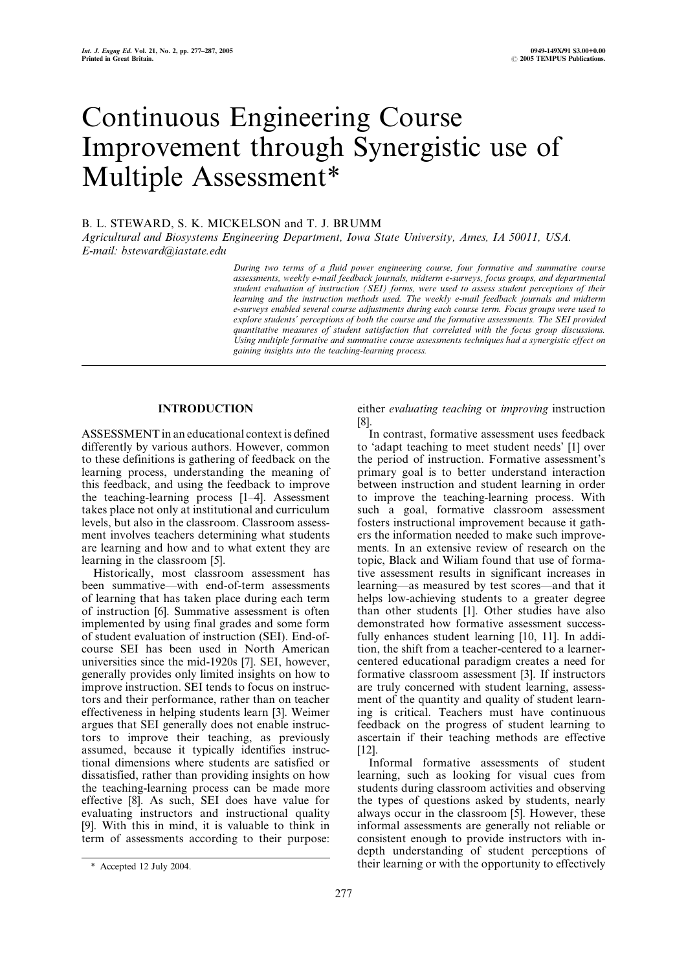# Continuous Engineering Course Improvement through Synergistic use of Multiple Assessment\*

# B. L. STEWARD, S. K. MICKELSON and T. J. BRUMM

Agricultural and Biosystems Engineering Department, Iowa State University, Ames, IA 50011, USA. E-mail: bsteward@iastate.edu

> During two terms of a fluid power engineering course, four formative and summative course assessments, weekly e-mail feedback journals, midterm e-surveys, focus groups, and departmental student evaluation of instruction (SEI) forms, were used to assess student perceptions of their learning and the instruction methods used. The weekly e-mail feedback journals and midterm e-surveys enabled several course adjustments during each course term. Focus groups were used to explore students' perceptions of both the course and the formative assessments. The SEI provided quantitative measures of student satisfaction that correlated with the focus group discussions. Using multiple formative and summative course assessments techniques had a synergistic effect on gaining insights into the teaching-learning process.

# INTRODUCTION

ASSESSMENT in an educational context is defined differently by various authors. However, common to these definitions is gathering of feedback on the learning process, understanding the meaning of this feedback, and using the feedback to improve the teaching-learning process  $[1-4]$ . Assessment takes place not only at institutional and curriculum levels, but also in the classroom. Classroom assessment involves teachers determining what students are learning and how and to what extent they are learning in the classroom [5].

Historically, most classroom assessment has been summative—with end-of-term assessments of learning that has taken place during each term of instruction [6]. Summative assessment is often implemented by using final grades and some form of student evaluation of instruction (SEI). End-ofcourse SEI has been used in North American universities since the mid-1920s [7]. SEI, however, generally provides only limited insights on how to improve instruction. SEI tends to focus on instructors and their performance, rather than on teacher effectiveness in helping students learn [3]. Weimer argues that SEI generally does not enable instructors to improve their teaching, as previously assumed, because it typically identifies instructional dimensions where students are satisfied or dissatisfied, rather than providing insights on how the teaching-learning process can be made more effective [8]. As such, SEI does have value for evaluating instructors and instructional quality [9]. With this in mind, it is valuable to think in term of assessments according to their purpose: either evaluating teaching or improving instruction [8].

In contrast, formative assessment uses feedback to `adapt teaching to meet student needs' [1] over the period of instruction. Formative assessment's primary goal is to better understand interaction between instruction and student learning in order to improve the teaching-learning process. With such a goal, formative classroom assessment fosters instructional improvement because it gathers the information needed to make such improvements. In an extensive review of research on the topic, Black and Wiliam found that use of formative assessment results in significant increases in learning—as measured by test scores—and that it helps low-achieving students to a greater degree than other students [1]. Other studies have also demonstrated how formative assessment successfully enhances student learning [10, 11]. In addition, the shift from a teacher-centered to a learnercentered educational paradigm creates a need for formative classroom assessment [3]. If instructors are truly concerned with student learning, assessment of the quantity and quality of student learning is critical. Teachers must have continuous feedback on the progress of student learning to ascertain if their teaching methods are effective [12].

Informal formative assessments of student learning, such as looking for visual cues from students during classroom activities and observing the types of questions asked by students, nearly always occur in the classroom [5]. However, these informal assessments are generally not reliable or consistent enough to provide instructors with indepth understanding of student perceptions of \* Accepted 12 July 2004.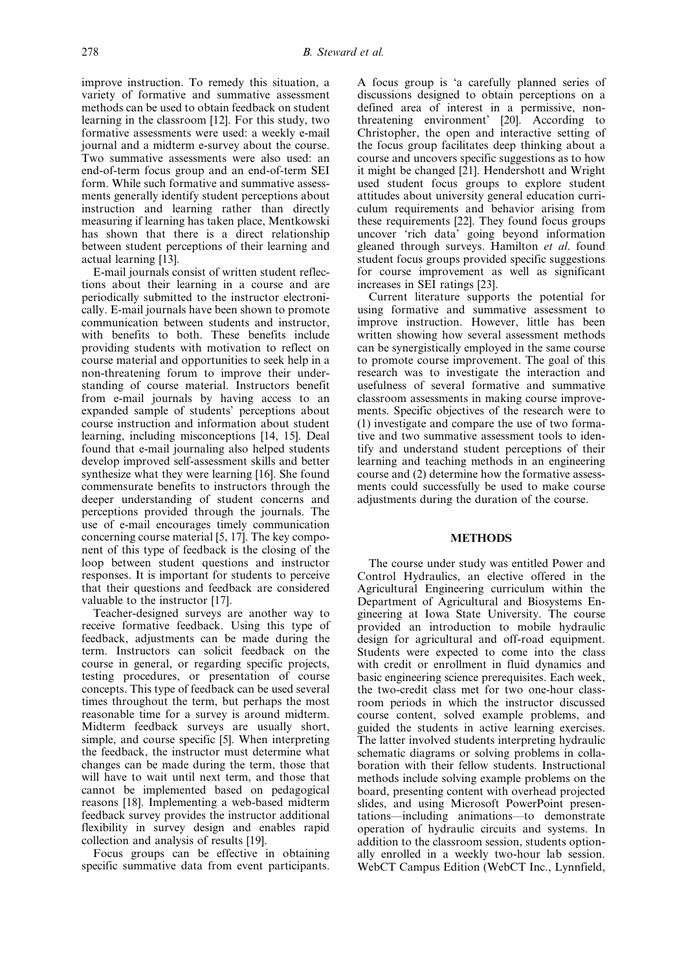improve instruction. To remedy this situation, a variety of formative and summative assessment methods can be used to obtain feedback on student learning in the classroom [12]. For this study, two formative assessments were used: a weekly e-mail journal and a midterm e-survey about the course. Two summative assessments were also used: an end-of-term focus group and an end-of-term SEI form. While such formative and summative assessments generally identify student perceptions about instruction and learning rather than directly measuring if learning has taken place, Mentkowski has shown that there is a direct relationship between student perceptions of their learning and actual learning [13].

E-mail journals consist of written student reflections about their learning in a course and are periodically submitted to the instructor electronically. E-mail journals have been shown to promote communication between students and instructor, with benefits to both. These benefits include providing students with motivation to reflect on course material and opportunities to seek help in a non-threatening forum to improve their understanding of course material. Instructors benefit from e-mail journals by having access to an expanded sample of students' perceptions about course instruction and information about student learning, including misconceptions [14, 15]. Deal found that e-mail journaling also helped students develop improved self-assessment skills and better synthesize what they were learning [16]. She found commensurate benefits to instructors through the deeper understanding of student concerns and perceptions provided through the journals. The use of e-mail encourages timely communication concerning course material [5, 17]. The key component of this type of feedback is the closing of the loop between student questions and instructor responses. It is important for students to perceive that their questions and feedback are considered valuable to the instructor [17].

Teacher-designed surveys are another way to receive formative feedback. Using this type of feedback, adjustments can be made during the term. Instructors can solicit feedback on the course in general, or regarding specific projects, testing procedures, or presentation of course concepts. This type of feedback can be used several times throughout the term, but perhaps the most reasonable time for a survey is around midterm. Midterm feedback surveys are usually short, simple, and course specific [5]. When interpreting the feedback, the instructor must determine what changes can be made during the term, those that will have to wait until next term, and those that cannot be implemented based on pedagogical reasons [18]. Implementing a web-based midterm feedback survey provides the instructor additional flexibility in survey design and enables rapid collection and analysis of results [19].

Focus groups can be effective in obtaining specific summative data from event participants.

A focus group is `a carefully planned series of discussions designed to obtain perceptions on a defined area of interest in a permissive, nonthreatening environment' [20]. According to Christopher, the open and interactive setting of the focus group facilitates deep thinking about a course and uncovers specific suggestions as to how it might be changed [21]. Hendershott and Wright used student focus groups to explore student attitudes about university general education curriculum requirements and behavior arising from these requirements [22]. They found focus groups uncover `rich data' going beyond information gleaned through surveys. Hamilton et al. found student focus groups provided specific suggestions for course improvement as well as significant increases in SEI ratings [23].

Current literature supports the potential for using formative and summative assessment to improve instruction. However, little has been written showing how several assessment methods can be synergistically employed in the same course to promote course improvement. The goal of this research was to investigate the interaction and usefulness of several formative and summative classroom assessments in making course improvements. Specific objectives of the research were to (1) investigate and compare the use of two formative and two summative assessment tools to identify and understand student perceptions of their learning and teaching methods in an engineering course and (2) determine how the formative assessments could successfully be used to make course adjustments during the duration of the course.

## **METHODS**

The course under study was entitled Power and Control Hydraulics, an elective offered in the Agricultural Engineering curriculum within the Department of Agricultural and Biosystems Engineering at Iowa State University. The course provided an introduction to mobile hydraulic design for agricultural and off-road equipment. Students were expected to come into the class with credit or enrollment in fluid dynamics and basic engineering science prerequisites. Each week, the two-credit class met for two one-hour classroom periods in which the instructor discussed course content, solved example problems, and guided the students in active learning exercises. The latter involved students interpreting hydraulic schematic diagrams or solving problems in collaboration with their fellow students. Instructional methods include solving example problems on the board, presenting content with overhead projected slides, and using Microsoft PowerPoint presentations—including animations—to demonstrate operation of hydraulic circuits and systems. In addition to the classroom session, students optionally enrolled in a weekly two-hour lab session. WebCT Campus Edition (WebCT Inc., Lynnfield,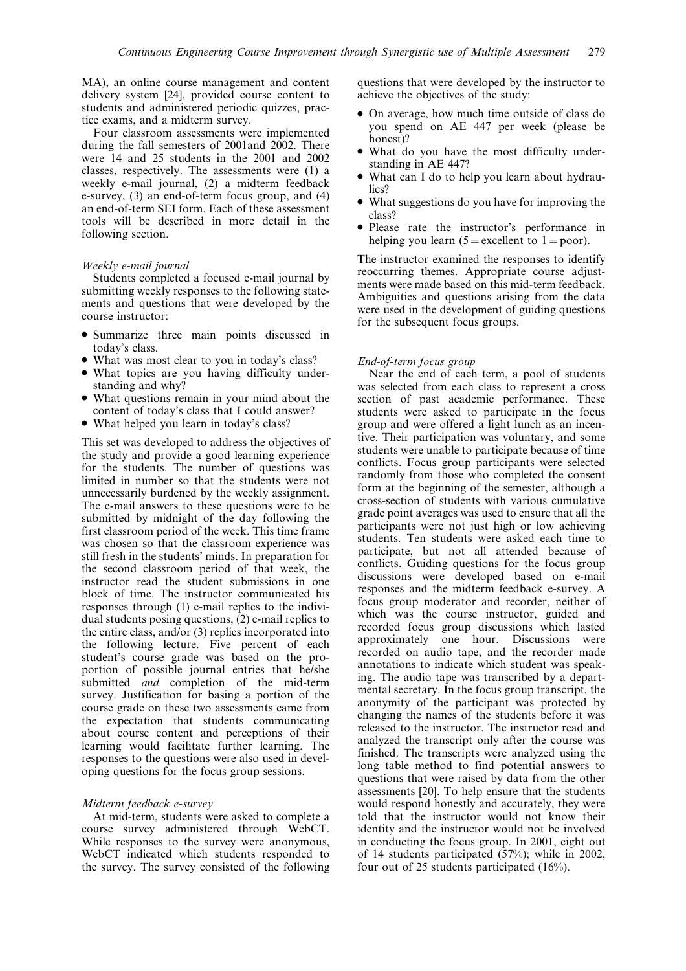MA), an online course management and content delivery system [24], provided course content to students and administered periodic quizzes, practice exams, and a midterm survey.

Four classroom assessments were implemented during the fall semesters of 2001and 2002. There were 14 and 25 students in the 2001 and 2002 classes, respectively. The assessments were (1) a weekly e-mail journal, (2) a midterm feedback e-survey, (3) an end-of-term focus group, and (4) an end-of-term SEI form. Each of these assessment tools will be described in more detail in the following section.

#### Weekly e-mail journal

Students completed a focused e-mail journal by submitting weekly responses to the following statements and questions that were developed by the course instructor:

- . Summarize three main points discussed in today's class.
- . What was most clear to you in today's class?
- . What topics are you having difficulty understanding and why?
- . What questions remain in your mind about the content of today's class that I could answer?
- . What helped you learn in today's class?

This set was developed to address the objectives of the study and provide a good learning experience for the students. The number of questions was limited in number so that the students were not unnecessarily burdened by the weekly assignment. The e-mail answers to these questions were to be submitted by midnight of the day following the first classroom period of the week. This time frame was chosen so that the classroom experience was still fresh in the students' minds. In preparation for the second classroom period of that week, the instructor read the student submissions in one block of time. The instructor communicated his responses through (1) e-mail replies to the individual students posing questions, (2) e-mail replies to the entire class, and/or (3) replies incorporated into the following lecture. Five percent of each student's course grade was based on the proportion of possible journal entries that he/she submitted *and* completion of the mid-term survey. Justification for basing a portion of the course grade on these two assessments came from the expectation that students communicating about course content and perceptions of their learning would facilitate further learning. The responses to the questions were also used in developing questions for the focus group sessions.

## Midterm feedback e-survey

At mid-term, students were asked to complete a course survey administered through WebCT. While responses to the survey were anonymous, WebCT indicated which students responded to the survey. The survey consisted of the following questions that were developed by the instructor to achieve the objectives of the study:

- . On average, how much time outside of class do you spend on AE 447 per week (please be honest)?
- . What do you have the most difficulty understanding in AE 447?
- . What can I do to help you learn about hydraulics?
- . What suggestions do you have for improving the class?
- . Please rate the instructor's performance in helping you learn  $(5 = \text{excellent to } 1 = \text{poor}).$

The instructor examined the responses to identify reoccurring themes. Appropriate course adjustments were made based on this mid-term feedback. Ambiguities and questions arising from the data were used in the development of guiding questions for the subsequent focus groups.

# End-of-term focus group

Near the end of each term, a pool of students was selected from each class to represent a cross section of past academic performance. These students were asked to participate in the focus group and were offered a light lunch as an incentive. Their participation was voluntary, and some students were unable to participate because of time conflicts. Focus group participants were selected randomly from those who completed the consent form at the beginning of the semester, although a cross-section of students with various cumulative grade point averages was used to ensure that all the participants were not just high or low achieving students. Ten students were asked each time to participate, but not all attended because of conflicts. Guiding questions for the focus group discussions were developed based on e-mail responses and the midterm feedback e-survey. A focus group moderator and recorder, neither of which was the course instructor, guided and recorded focus group discussions which lasted approximately one hour. Discussions were recorded on audio tape, and the recorder made annotations to indicate which student was speaking. The audio tape was transcribed by a departmental secretary. In the focus group transcript, the anonymity of the participant was protected by changing the names of the students before it was released to the instructor. The instructor read and analyzed the transcript only after the course was finished. The transcripts were analyzed using the long table method to find potential answers to questions that were raised by data from the other assessments [20]. To help ensure that the students would respond honestly and accurately, they were told that the instructor would not know their identity and the instructor would not be involved in conducting the focus group. In 2001, eight out of 14 students participated (57%); while in 2002, four out of 25 students participated (16%).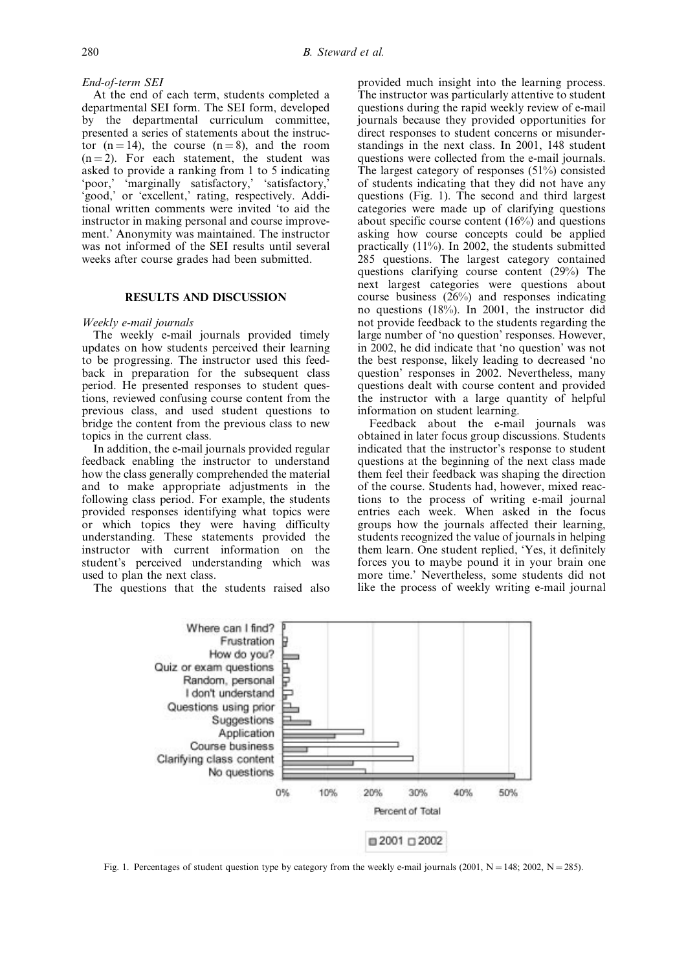## End-of-term SEI

At the end of each term, students completed a departmental SEI form. The SEI form, developed by the departmental curriculum committee, presented a series of statements about the instructor  $(n = 14)$ , the course  $(n = 8)$ , and the room  $(n = 2)$ . For each statement, the student was asked to provide a ranking from 1 to 5 indicating `poor,' `marginally satisfactory,' `satisfactory,' `good,' or `excellent,' rating, respectively. Additional written comments were invited `to aid the instructor in making personal and course improvement.' Anonymity was maintained. The instructor was not informed of the SEI results until several weeks after course grades had been submitted.

#### RESULTS AND DISCUSSION

#### Weekly e-mail journals

The weekly e-mail journals provided timely updates on how students perceived their learning to be progressing. The instructor used this feedback in preparation for the subsequent class period. He presented responses to student questions, reviewed confusing course content from the previous class, and used student questions to bridge the content from the previous class to new topics in the current class.

In addition, the e-mail journals provided regular feedback enabling the instructor to understand how the class generally comprehended the material and to make appropriate adjustments in the following class period. For example, the students provided responses identifying what topics were or which topics they were having difficulty understanding. These statements provided the instructor with current information on the student's perceived understanding which was used to plan the next class.

The questions that the students raised also

provided much insight into the learning process. The instructor was particularly attentive to student questions during the rapid weekly review of e-mail journals because they provided opportunities for direct responses to student concerns or misunderstandings in the next class. In 2001, 148 student questions were collected from the e-mail journals. The largest category of responses (51%) consisted of students indicating that they did not have any questions (Fig. 1). The second and third largest categories were made up of clarifying questions about specific course content (16%) and questions asking how course concepts could be applied practically (11%). In 2002, the students submitted 285 questions. The largest category contained questions clarifying course content (29%) The next largest categories were questions about course business (26%) and responses indicating no questions (18%). In 2001, the instructor did not provide feedback to the students regarding the large number of 'no question' responses. However, in 2002, he did indicate that `no question' was not the best response, likely leading to decreased `no question' responses in 2002. Nevertheless, many questions dealt with course content and provided the instructor with a large quantity of helpful information on student learning.

Feedback about the e-mail journals was obtained in later focus group discussions. Students indicated that the instructor's response to student questions at the beginning of the next class made them feel their feedback was shaping the direction of the course. Students had, however, mixed reactions to the process of writing e-mail journal entries each week. When asked in the focus groups how the journals affected their learning, students recognized the value of journals in helping them learn. One student replied, `Yes, it definitely forces you to maybe pound it in your brain one more time.' Nevertheless, some students did not like the process of weekly writing e-mail journal



Fig. 1. Percentages of student question type by category from the weekly e-mail journals (2001,  $N = 148$ ; 2002,  $N = 285$ ).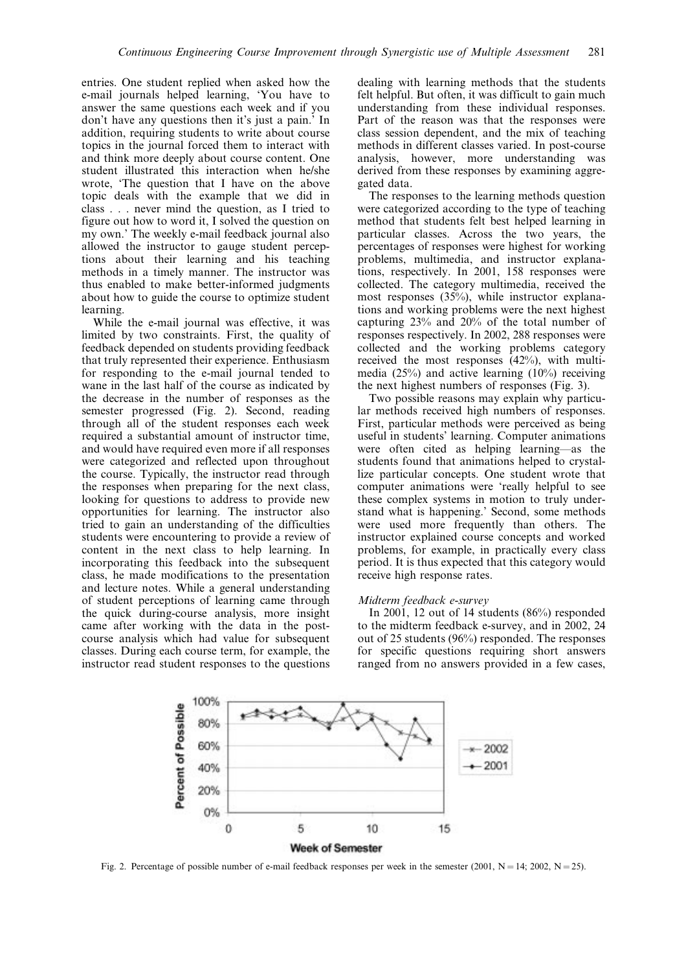entries. One student replied when asked how the e-mail journals helped learning, `You have to answer the same questions each week and if you don't have any questions then it's just a pain.' In addition, requiring students to write about course topics in the journal forced them to interact with and think more deeply about course content. One student illustrated this interaction when he/she wrote, 'The question that I have on the above topic deals with the example that we did in class . . . never mind the question, as I tried to figure out how to word it, I solved the question on my own.' The weekly e-mail feedback journal also allowed the instructor to gauge student perceptions about their learning and his teaching methods in a timely manner. The instructor was thus enabled to make better-informed judgments about how to guide the course to optimize student learning.

While the e-mail journal was effective, it was limited by two constraints. First, the quality of feedback depended on students providing feedback that truly represented their experience. Enthusiasm for responding to the e-mail journal tended to wane in the last half of the course as indicated by the decrease in the number of responses as the semester progressed (Fig. 2). Second, reading through all of the student responses each week required a substantial amount of instructor time, and would have required even more if all responses were categorized and reflected upon throughout the course. Typically, the instructor read through the responses when preparing for the next class, looking for questions to address to provide new opportunities for learning. The instructor also tried to gain an understanding of the difficulties students were encountering to provide a review of content in the next class to help learning. In incorporating this feedback into the subsequent class, he made modifications to the presentation and lecture notes. While a general understanding of student perceptions of learning came through the quick during-course analysis, more insight came after working with the data in the postcourse analysis which had value for subsequent classes. During each course term, for example, the instructor read student responses to the questions

dealing with learning methods that the students felt helpful. But often, it was difficult to gain much understanding from these individual responses. Part of the reason was that the responses were class session dependent, and the mix of teaching methods in different classes varied. In post-course analysis, however, more understanding was derived from these responses by examining aggregated data.

The responses to the learning methods question were categorized according to the type of teaching method that students felt best helped learning in particular classes. Across the two years, the percentages of responses were highest for working problems, multimedia, and instructor explanations, respectively. In 2001, 158 responses were collected. The category multimedia, received the most responses (35%), while instructor explanations and working problems were the next highest capturing 23% and 20% of the total number of responses respectively. In 2002, 288 responses were collected and the working problems category received the most responses (42%), with multimedia (25%) and active learning (10%) receiving the next highest numbers of responses (Fig. 3).

Two possible reasons may explain why particular methods received high numbers of responses. First, particular methods were perceived as being useful in students' learning. Computer animations were often cited as helping learning—as the students found that animations helped to crystallize particular concepts. One student wrote that computer animations were `really helpful to see these complex systems in motion to truly understand what is happening.' Second, some methods were used more frequently than others. The instructor explained course concepts and worked problems, for example, in practically every class period. It is thus expected that this category would receive high response rates.

#### Midterm feedback e-survey

In 2001, 12 out of 14 students (86%) responded to the midterm feedback e-survey, and in 2002, 24 out of 25 students (96%) responded. The responses for specific questions requiring short answers ranged from no answers provided in a few cases,



Fig. 2. Percentage of possible number of e-mail feedback responses per week in the semester (2001,  $N = 14$ ; 2002,  $N = 25$ ).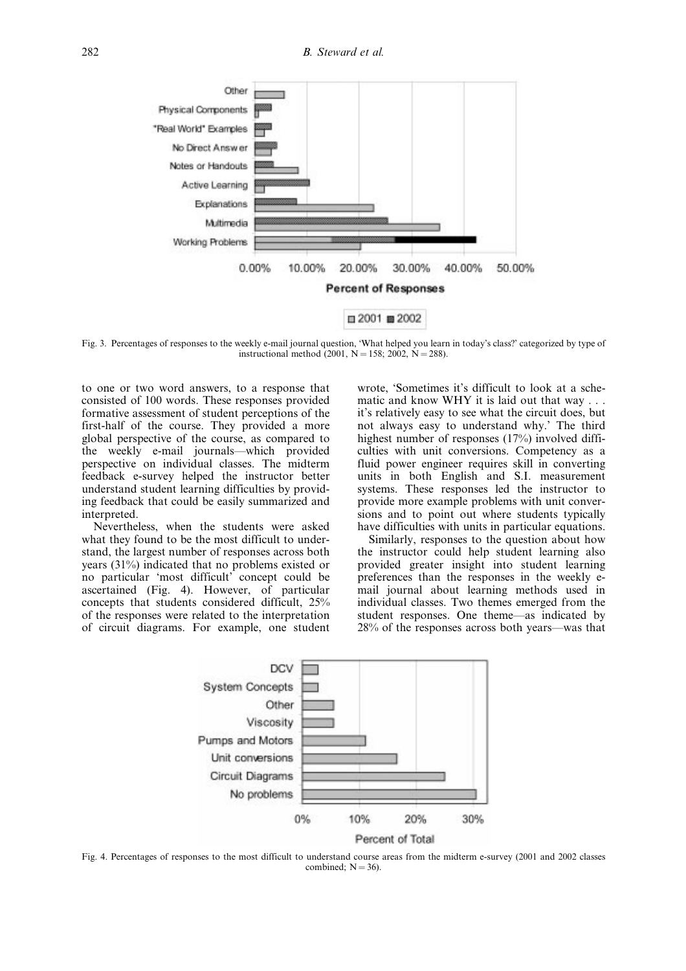

Fig. 3. Percentages of responses to the weekly e-mail journal question, 'What helped you learn in today's class?' categorized by type of instructional method  $(2001, N = 158; 2002, N = 288)$ .

to one or two word answers, to a response that consisted of 100 words. These responses provided formative assessment of student perceptions of the first-half of the course. They provided a more global perspective of the course, as compared to the weekly e-mail journals—which provided perspective on individual classes. The midterm feedback e-survey helped the instructor better understand student learning difficulties by providing feedback that could be easily summarized and interpreted.

Nevertheless, when the students were asked what they found to be the most difficult to understand, the largest number of responses across both years (31%) indicated that no problems existed or no particular `most difficult' concept could be ascertained (Fig. 4). However, of particular concepts that students considered difficult, 25% of the responses were related to the interpretation of circuit diagrams. For example, one student wrote, 'Sometimes it's difficult to look at a schematic and know WHY it is laid out that way . . . it's relatively easy to see what the circuit does, but not always easy to understand why.' The third highest number of responses (17%) involved difficulties with unit conversions. Competency as a fluid power engineer requires skill in converting units in both English and S.I. measurement systems. These responses led the instructor to provide more example problems with unit conversions and to point out where students typically have difficulties with units in particular equations.

Similarly, responses to the question about how the instructor could help student learning also provided greater insight into student learning preferences than the responses in the weekly email journal about learning methods used in individual classes. Two themes emerged from the student responses. One theme—as indicated by  $28\%$  of the responses across both years—was that



Fig. 4. Percentages of responses to the most difficult to understand course areas from the midterm e-survey (2001 and 2002 classes combined;  $N = 36$ ).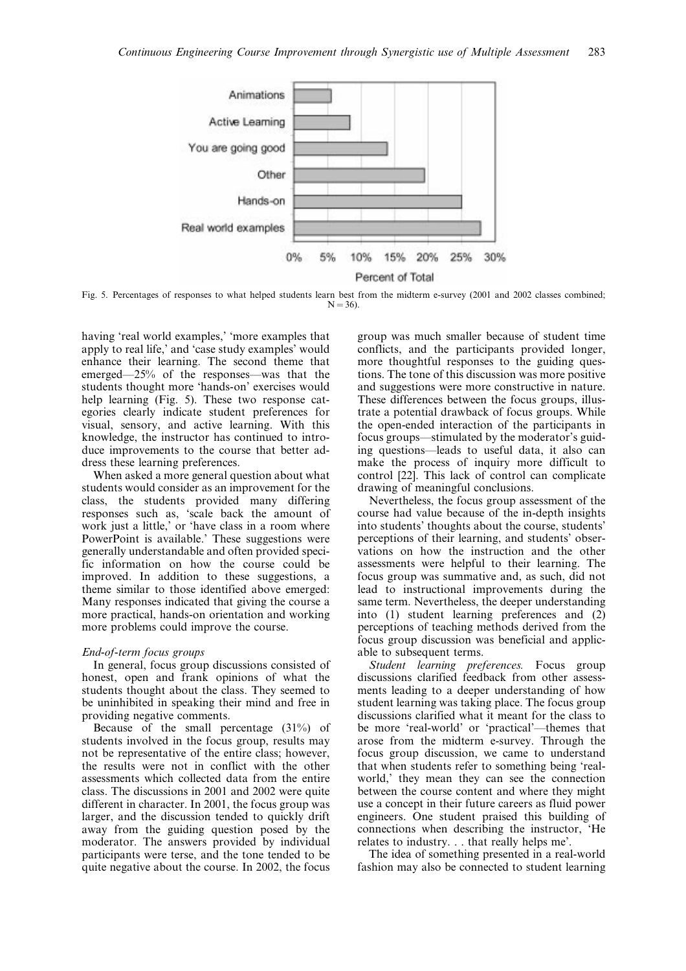

Fig. 5. Percentages of responses to what helped students learn best from the midterm e-survey (2001 and 2002 classes combined;  $N = 36$ 

having 'real world examples,' 'more examples that apply to real life,' and `case study examples' would enhance their learning. The second theme that emerged $-25%$  of the responses—was that the students thought more `hands-on' exercises would help learning (Fig. 5). These two response categories clearly indicate student preferences for visual, sensory, and active learning. With this knowledge, the instructor has continued to introduce improvements to the course that better address these learning preferences.

When asked a more general question about what students would consider as an improvement for the class, the students provided many differing responses such as, `scale back the amount of work just a little,' or 'have class in a room where PowerPoint is available.' These suggestions were generally understandable and often provided specific information on how the course could be improved. In addition to these suggestions, a theme similar to those identified above emerged: Many responses indicated that giving the course a more practical, hands-on orientation and working more problems could improve the course.

#### End-of-term focus groups

In general, focus group discussions consisted of honest, open and frank opinions of what the students thought about the class. They seemed to be uninhibited in speaking their mind and free in providing negative comments.

Because of the small percentage (31%) of students involved in the focus group, results may not be representative of the entire class; however, the results were not in conflict with the other assessments which collected data from the entire class. The discussions in 2001 and 2002 were quite different in character. In 2001, the focus group was larger, and the discussion tended to quickly drift away from the guiding question posed by the moderator. The answers provided by individual participants were terse, and the tone tended to be quite negative about the course. In 2002, the focus

group was much smaller because of student time conflicts, and the participants provided longer, more thoughtful responses to the guiding questions. The tone of this discussion was more positive and suggestions were more constructive in nature. These differences between the focus groups, illustrate a potential drawback of focus groups. While the open-ended interaction of the participants in focus groups—stimulated by the moderator's guiding questions—leads to useful data, it also can make the process of inquiry more difficult to control [22]. This lack of control can complicate drawing of meaningful conclusions.

Nevertheless, the focus group assessment of the course had value because of the in-depth insights into students' thoughts about the course, students' perceptions of their learning, and students' observations on how the instruction and the other assessments were helpful to their learning. The focus group was summative and, as such, did not lead to instructional improvements during the same term. Nevertheless, the deeper understanding into (1) student learning preferences and (2) perceptions of teaching methods derived from the focus group discussion was beneficial and applicable to subsequent terms.

Student learning preferences. Focus group discussions clarified feedback from other assessments leading to a deeper understanding of how student learning was taking place. The focus group discussions clarified what it meant for the class to be more 'real-world' or 'practical'—themes that arose from the midterm e-survey. Through the focus group discussion, we came to understand that when students refer to something being `realworld,' they mean they can see the connection between the course content and where they might use a concept in their future careers as fluid power engineers. One student praised this building of connections when describing the instructor, `He relates to industry. . . that really helps me'.

The idea of something presented in a real-world fashion may also be connected to student learning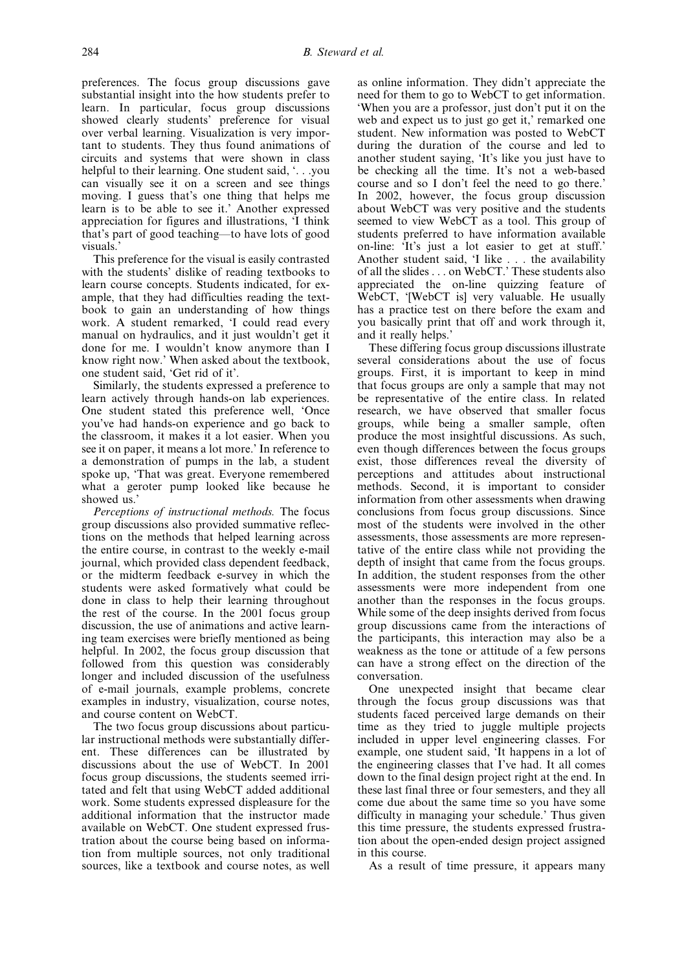preferences. The focus group discussions gave substantial insight into the how students prefer to learn. In particular, focus group discussions showed clearly students' preference for visual over verbal learning. Visualization is very important to students. They thus found animations of circuits and systems that were shown in class helpful to their learning. One student said, `. . .you can visually see it on a screen and see things moving. I guess that's one thing that helps me learn is to be able to see it.' Another expressed appreciation for figures and illustrations, `I think that's part of good teaching—to have lots of good visuals.'

This preference for the visual is easily contrasted with the students' dislike of reading textbooks to learn course concepts. Students indicated, for example, that they had difficulties reading the textbook to gain an understanding of how things work. A student remarked, 'I could read every manual on hydraulics, and it just wouldn't get it done for me. I wouldn't know anymore than I know right now.' When asked about the textbook, one student said, 'Get rid of it'.

Similarly, the students expressed a preference to learn actively through hands-on lab experiences. One student stated this preference well, 'Once you've had hands-on experience and go back to the classroom, it makes it a lot easier. When you see it on paper, it means a lot more.' In reference to a demonstration of pumps in the lab, a student spoke up, `That was great. Everyone remembered what a geroter pump looked like because he showed us.'

Perceptions of instructional methods. The focus group discussions also provided summative reflections on the methods that helped learning across the entire course, in contrast to the weekly e-mail journal, which provided class dependent feedback, or the midterm feedback e-survey in which the students were asked formatively what could be done in class to help their learning throughout the rest of the course. In the 2001 focus group discussion, the use of animations and active learning team exercises were briefly mentioned as being helpful. In 2002, the focus group discussion that followed from this question was considerably longer and included discussion of the usefulness of e-mail journals, example problems, concrete examples in industry, visualization, course notes, and course content on WebCT.

The two focus group discussions about particular instructional methods were substantially different. These differences can be illustrated by discussions about the use of WebCT. In 2001 focus group discussions, the students seemed irritated and felt that using WebCT added additional work. Some students expressed displeasure for the additional information that the instructor made available on WebCT. One student expressed frustration about the course being based on information from multiple sources, not only traditional sources, like a textbook and course notes, as well as online information. They didn't appreciate the need for them to go to WebCT to get information. `When you are a professor, just don't put it on the web and expect us to just go get it,' remarked one student. New information was posted to WebCT during the duration of the course and led to another student saying, `It's like you just have to be checking all the time. It's not a web-based course and so I don't feel the need to go there.' In 2002, however, the focus group discussion about WebCT was very positive and the students seemed to view WebCT as a tool. This group of students preferred to have information available on-line: `It's just a lot easier to get at stuff.' Another student said, 'I like . . . the availability of all the slides . . . on WebCT.' These students also appreciated the on-line quizzing feature of WebCT, '[WebCT is] very valuable. He usually has a practice test on there before the exam and you basically print that off and work through it, and it really helps.'

These differing focus group discussions illustrate several considerations about the use of focus groups. First, it is important to keep in mind that focus groups are only a sample that may not be representative of the entire class. In related research, we have observed that smaller focus groups, while being a smaller sample, often produce the most insightful discussions. As such, even though differences between the focus groups exist, those differences reveal the diversity of perceptions and attitudes about instructional methods. Second, it is important to consider information from other assessments when drawing conclusions from focus group discussions. Since most of the students were involved in the other assessments, those assessments are more representative of the entire class while not providing the depth of insight that came from the focus groups. In addition, the student responses from the other assessments were more independent from one another than the responses in the focus groups. While some of the deep insights derived from focus group discussions came from the interactions of the participants, this interaction may also be a weakness as the tone or attitude of a few persons can have a strong effect on the direction of the conversation.

One unexpected insight that became clear through the focus group discussions was that students faced perceived large demands on their time as they tried to juggle multiple projects included in upper level engineering classes. For example, one student said, `It happens in a lot of the engineering classes that I've had. It all comes down to the final design project right at the end. In these last final three or four semesters, and they all come due about the same time so you have some difficulty in managing your schedule.' Thus given this time pressure, the students expressed frustration about the open-ended design project assigned in this course.

As a result of time pressure, it appears many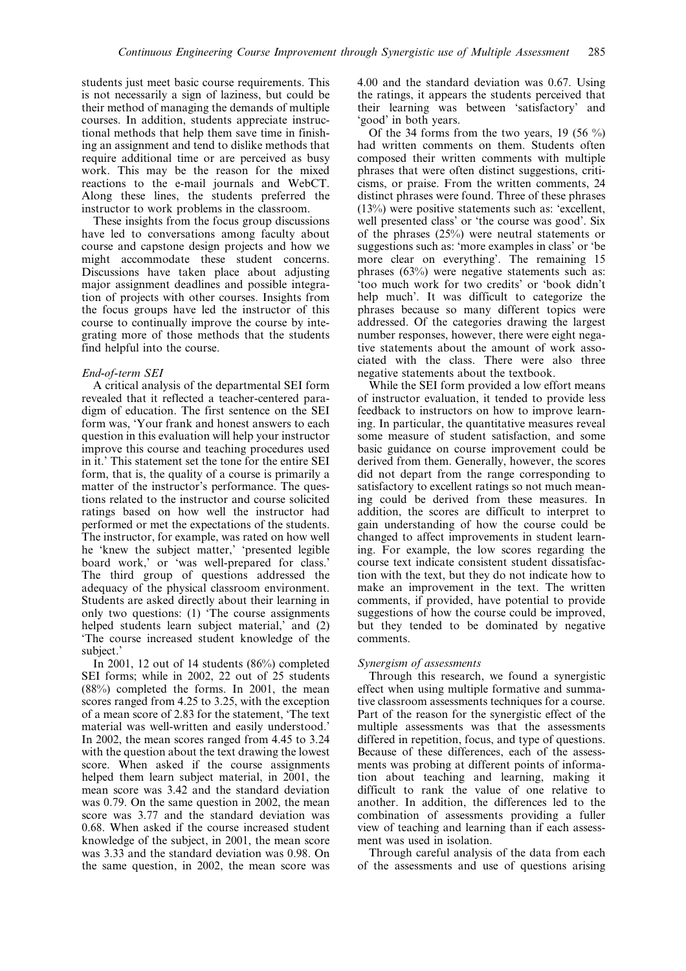students just meet basic course requirements. This is not necessarily a sign of laziness, but could be their method of managing the demands of multiple courses. In addition, students appreciate instructional methods that help them save time in finishing an assignment and tend to dislike methods that require additional time or are perceived as busy work. This may be the reason for the mixed reactions to the e-mail journals and WebCT. Along these lines, the students preferred the instructor to work problems in the classroom.

These insights from the focus group discussions have led to conversations among faculty about course and capstone design projects and how we might accommodate these student concerns. Discussions have taken place about adjusting major assignment deadlines and possible integration of projects with other courses. Insights from the focus groups have led the instructor of this course to continually improve the course by integrating more of those methods that the students find helpful into the course.

## End-of-term SEI

A critical analysis of the departmental SEI form revealed that it reflected a teacher-centered paradigm of education. The first sentence on the SEI form was, `Your frank and honest answers to each question in this evaluation will help your instructor improve this course and teaching procedures used in it.' This statement set the tone for the entire SEI form, that is, the quality of a course is primarily a matter of the instructor's performance. The questions related to the instructor and course solicited ratings based on how well the instructor had performed or met the expectations of the students. The instructor, for example, was rated on how well he 'knew the subject matter,' 'presented legible board work,' or 'was well-prepared for class.' The third group of questions addressed the adequacy of the physical classroom environment. Students are asked directly about their learning in only two questions: (1) `The course assignments helped students learn subject material,' and (2) `The course increased student knowledge of the subject.'

In 2001, 12 out of 14 students (86%) completed SEI forms; while in 2002, 22 out of 25 students (88%) completed the forms. In 2001, the mean scores ranged from 4.25 to 3.25, with the exception of a mean score of 2.83 for the statement, `The text material was well-written and easily understood.' In 2002, the mean scores ranged from 4.45 to 3.24 with the question about the text drawing the lowest score. When asked if the course assignments helped them learn subject material, in 2001, the mean score was 3.42 and the standard deviation was 0.79. On the same question in 2002, the mean score was 3.77 and the standard deviation was 0.68. When asked if the course increased student knowledge of the subject, in 2001, the mean score was 3.33 and the standard deviation was 0.98. On the same question, in 2002, the mean score was 4.00 and the standard deviation was 0.67. Using the ratings, it appears the students perceived that their learning was between `satisfactory' and `good' in both years.

Of the 34 forms from the two years, 19 (56  $\%$ ) had written comments on them. Students often composed their written comments with multiple phrases that were often distinct suggestions, criticisms, or praise. From the written comments, 24 distinct phrases were found. Three of these phrases (13%) were positive statements such as: `excellent, well presented class' or 'the course was good'. Six of the phrases (25%) were neutral statements or suggestions such as: 'more examples in class' or 'be more clear on everything'. The remaining 15 phrases (63%) were negative statements such as: `too much work for two credits' or `book didn't help much'. It was difficult to categorize the phrases because so many different topics were addressed. Of the categories drawing the largest number responses, however, there were eight negative statements about the amount of work associated with the class. There were also three negative statements about the textbook.

While the SEI form provided a low effort means of instructor evaluation, it tended to provide less feedback to instructors on how to improve learning. In particular, the quantitative measures reveal some measure of student satisfaction, and some basic guidance on course improvement could be derived from them. Generally, however, the scores did not depart from the range corresponding to satisfactory to excellent ratings so not much meaning could be derived from these measures. In addition, the scores are difficult to interpret to gain understanding of how the course could be changed to affect improvements in student learning. For example, the low scores regarding the course text indicate consistent student dissatisfaction with the text, but they do not indicate how to make an improvement in the text. The written comments, if provided, have potential to provide suggestions of how the course could be improved, but they tended to be dominated by negative comments.

#### Synergism of assessments

Through this research, we found a synergistic effect when using multiple formative and summative classroom assessments techniques for a course. Part of the reason for the synergistic effect of the multiple assessments was that the assessments differed in repetition, focus, and type of questions. Because of these differences, each of the assessments was probing at different points of information about teaching and learning, making it difficult to rank the value of one relative to another. In addition, the differences led to the combination of assessments providing a fuller view of teaching and learning than if each assessment was used in isolation.

Through careful analysis of the data from each of the assessments and use of questions arising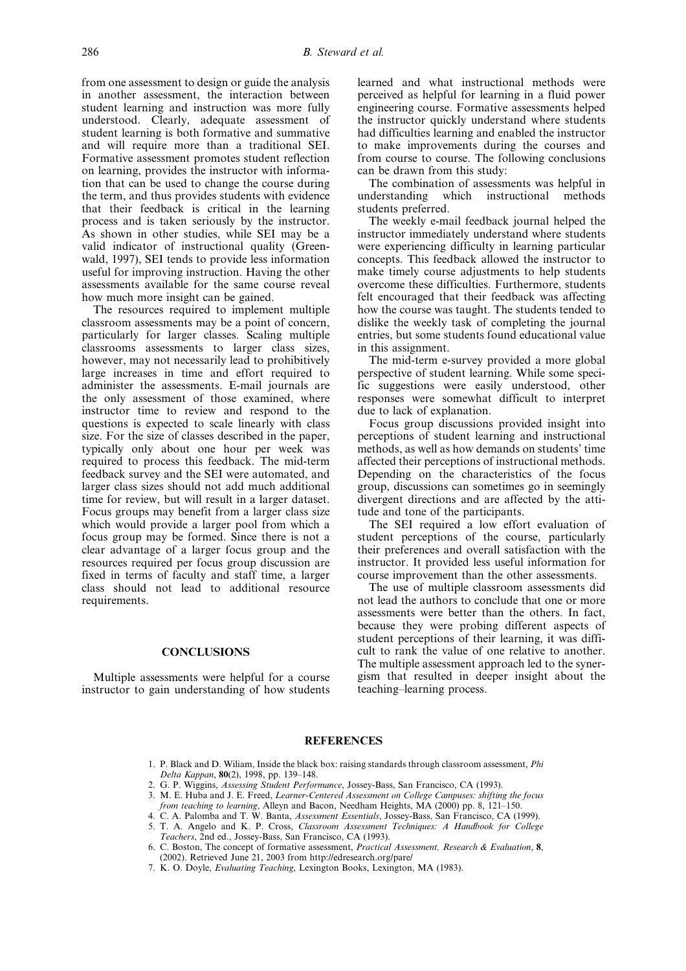from one assessment to design or guide the analysis in another assessment, the interaction between student learning and instruction was more fully understood. Clearly, adequate assessment of student learning is both formative and summative and will require more than a traditional SEI. Formative assessment promotes student reflection on learning, provides the instructor with information that can be used to change the course during the term, and thus provides students with evidence that their feedback is critical in the learning process and is taken seriously by the instructor. As shown in other studies, while SEI may be a valid indicator of instructional quality (Greenwald, 1997), SEI tends to provide less information useful for improving instruction. Having the other assessments available for the same course reveal how much more insight can be gained.

The resources required to implement multiple classroom assessments may be a point of concern, particularly for larger classes. Scaling multiple classrooms assessments to larger class sizes, however, may not necessarily lead to prohibitively large increases in time and effort required to administer the assessments. E-mail journals are the only assessment of those examined, where instructor time to review and respond to the questions is expected to scale linearly with class size. For the size of classes described in the paper, typically only about one hour per week was required to process this feedback. The mid-term feedback survey and the SEI were automated, and larger class sizes should not add much additional time for review, but will result in a larger dataset. Focus groups may benefit from a larger class size which would provide a larger pool from which a focus group may be formed. Since there is not a clear advantage of a larger focus group and the resources required per focus group discussion are fixed in terms of faculty and staff time, a larger class should not lead to additional resource requirements.

## **CONCLUSIONS**

Multiple assessments were helpful for a course instructor to gain understanding of how students learned and what instructional methods were perceived as helpful for learning in a fluid power engineering course. Formative assessments helped the instructor quickly understand where students had difficulties learning and enabled the instructor to make improvements during the courses and from course to course. The following conclusions can be drawn from this study:

The combination of assessments was helpful in understanding which instructional methods students preferred.

The weekly e-mail feedback journal helped the instructor immediately understand where students were experiencing difficulty in learning particular concepts. This feedback allowed the instructor to make timely course adjustments to help students overcome these difficulties. Furthermore, students felt encouraged that their feedback was affecting how the course was taught. The students tended to dislike the weekly task of completing the journal entries, but some students found educational value in this assignment.

The mid-term e-survey provided a more global perspective of student learning. While some specific suggestions were easily understood, other responses were somewhat difficult to interpret due to lack of explanation.

Focus group discussions provided insight into perceptions of student learning and instructional methods, as well as how demands on students' time affected their perceptions of instructional methods. Depending on the characteristics of the focus group, discussions can sometimes go in seemingly divergent directions and are affected by the attitude and tone of the participants.

The SEI required a low effort evaluation of student perceptions of the course, particularly their preferences and overall satisfaction with the instructor. It provided less useful information for course improvement than the other assessments.

The use of multiple classroom assessments did not lead the authors to conclude that one or more assessments were better than the others. In fact, because they were probing different aspects of student perceptions of their learning, it was difficult to rank the value of one relative to another. The multiple assessment approach led to the synergism that resulted in deeper insight about the teaching-learning process.

## **REFERENCES**

- 1. P. Black and D. Wiliam, Inside the black box: raising standards through classroom assessment, Phi Delta Kappan, 80(2), 1998, pp. 139-148.
- 2. G. P. Wiggins, Assessing Student Performance, Jossey-Bass, San Francisco, CA (1993).
- 3. M. E. Huba and J. E. Freed, Learner-Centered Assessment on College Campuses: shifting the focus *from teaching to learning*, Alleyn and Bacon, Needham Heights,  $\overline{MA}$  (2000) pp. 8, 121–150.
- 4. C. A. Palomba and T. W. Banta, *Assessment Essentials*, Jossey-Bass, San Francisco, CA (1999).
- 5. T. A. Angelo and K. P. Cross, Classroom Assessment Techniques: A Handbook for College Teachers, 2nd ed., Jossey-Bass, San Francisco, CA (1993).
- 6. C. Boston, The concept of formative assessment, Practical Assessment, Research & Evaluation, 8, (2002). Retrieved June 21, 2003 from http://edresearch.org/pare/
- 7. K. O. Doyle, Evaluating Teaching, Lexington Books, Lexington, MA (1983).